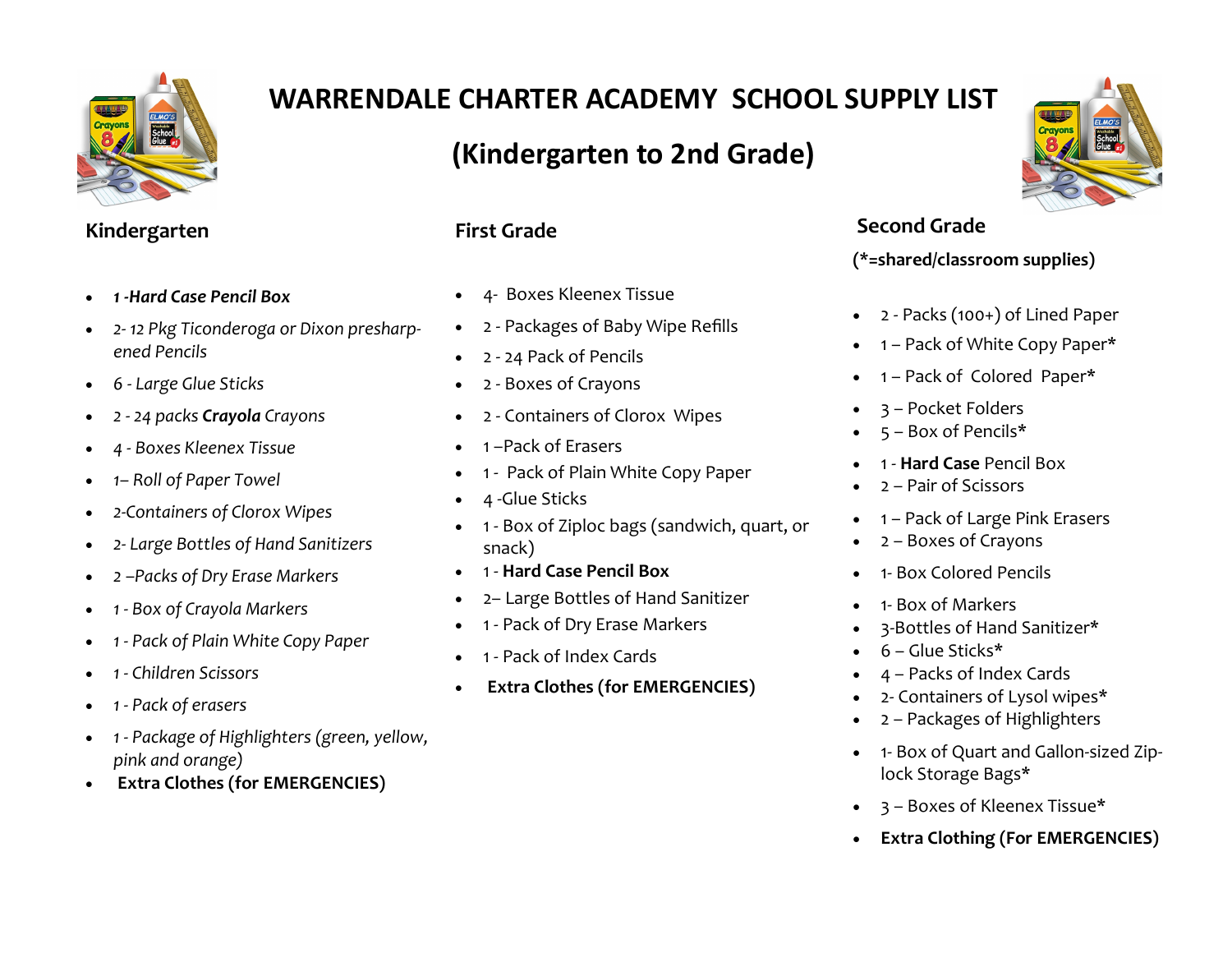

# **WARRENDALE CHARTER ACADEMY SCHOOL SUPPLY LIST**

### **(Kindergarten to 2nd Grade)**

### **Kindergarten**

- *1 -Hard Case Pencil Box*
- *2- 12 Pkg Ticonderoga or Dixon presharpened Pencils*
- *6 - Large Glue Sticks*
- *2 - 24 packs Crayola Crayons*
- *4 - Boxes Kleenex Tissue*
- *1– Roll of Paper Towel*
- *2-Containers of Clorox Wipes*
- *2- Large Bottles of Hand Sanitizers*
- *2 –Packs of Dry Erase Markers*
- *1 - Box of Crayola Markers*
- *1 - Pack of Plain White Copy Paper*
- *1 - Children Scissors*
- *1 - Pack of erasers*
- *1 - Package of Highlighters (green, yellow, pink and orange)*
- **Extra Clothes (for EMERGENCIES)**

#### **First Grade**

- 4- Boxes Kleenex Tissue
- 2 Packages of Baby Wipe Refills
- 2 24 Pack of Pencils
- 2 Boxes of Crayons
- 2 Containers of Clorox Wipes
- 1 –Pack of Erasers
- 1 Pack of Plain White Copy Paper
- 4 -Glue Sticks
- 1 Box of Ziploc bags (sandwich, quart, or snack)
- 1 **Hard Case Pencil Box**
- 2– Large Bottles of Hand Sanitizer
- 1 Pack of Dry Erase Markers
- 1 Pack of Index Cards
- **Extra Clothes (for EMERGENCIES)**



### **Second Grade**

#### **(\*=shared/classroom supplies)**

- 2 Packs (100+) of Lined Paper
- 1 Pack of White Copy Paper\*
- 1 Pack of Colored Paper\*
- 3 Pocket Folders
- 5 Box of Pencils\*
- 1 **Hard Case** Pencil Box
- 2 Pair of Scissors
- 1 Pack of Large Pink Erasers
- 2 Boxes of Crayons
- 1- Box Colored Pencils
- 1- Box of Markers
- 3-Bottles of Hand Sanitizer\*
- 6 Glue Sticks\*
- 4 Packs of Index Cards
- 2- Containers of Lysol wipes\*
- 2 Packages of Highlighters
- 1- Box of Quart and Gallon-sized Ziplock Storage Bags\*
- 3 Boxes of Kleenex Tissue\*
- **Extra Clothing (For EMERGENCIES)**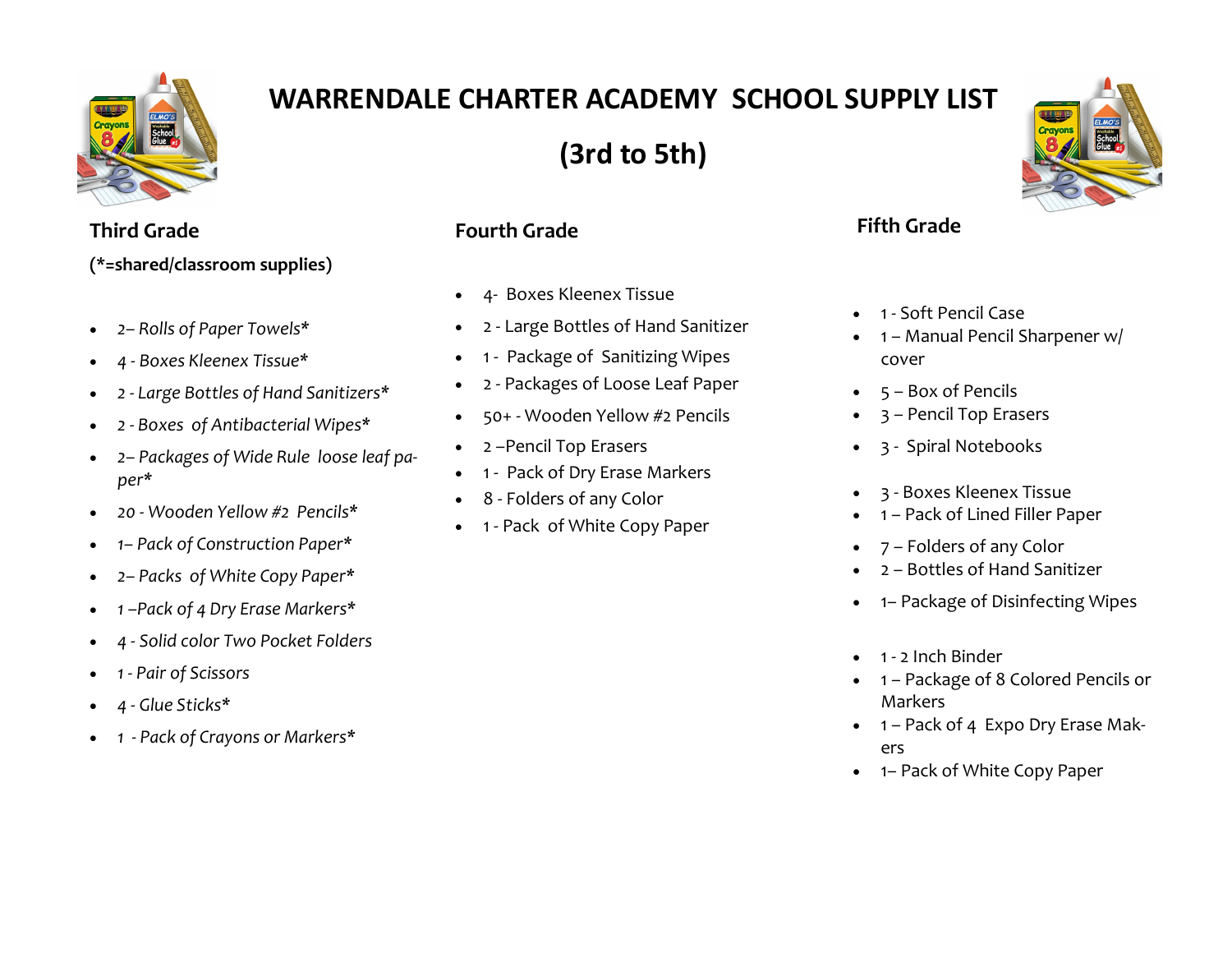

# **WARRENDALE CHARTER ACADEMY SCHOOL SUPPLY LIST**

**(3rd to 5th)**



### **Third Grade (\*=shared/classroom supplies)**

- *2– Rolls of Paper Towels\**
- *4 - Boxes Kleenex Tissue\**
- *2 - Large Bottles of Hand Sanitizers\**
- *2 - Boxes of Antibacterial Wipes\**
- *2– Packages of Wide Rule loose leaf paper\**
- *20 - Wooden Yellow #2 Pencils\**
- *1– Pack of Construction Paper\**
- *2– Packs of White Copy Paper\**
- *1 –Pack of 4 Dry Erase Markers\**
- *4 - Solid color Two Pocket Folders*
- *1 - Pair of Scissors*
- *4 - Glue Sticks\**
- *1 - Pack of Crayons or Markers\**

### **Fourth Grade**

- 4- Boxes Kleenex Tissue
- 2 Large Bottles of Hand Sanitizer
- 1 Package of Sanitizing Wipes
- 2 Packages of Loose Leaf Paper
- 50+ Wooden Yellow #2 Pencils
- 2 –Pencil Top Erasers
- 1 Pack of Dry Erase Markers
- 8 Folders of any Color
- 1 Pack of White Copy Paper

### **Fifth Grade**

- 1 Soft Pencil Case
- 1 Manual Pencil Sharpener w/ cover
- 5 Box of Pencils
- 3 Pencil Top Erasers
- 3 Spiral Notebooks
- 3 Boxes Kleenex Tissue
- 1 Pack of Lined Filler Paper
- 7 Folders of any Color
- 2 Bottles of Hand Sanitizer
- 1– Package of Disinfecting Wipes
- 1 2 Inch Binder
- 1 Package of 8 Colored Pencils or Markers
- 1 Pack of 4 Expo Dry Erase Makers
- 1– Pack of White Copy Paper